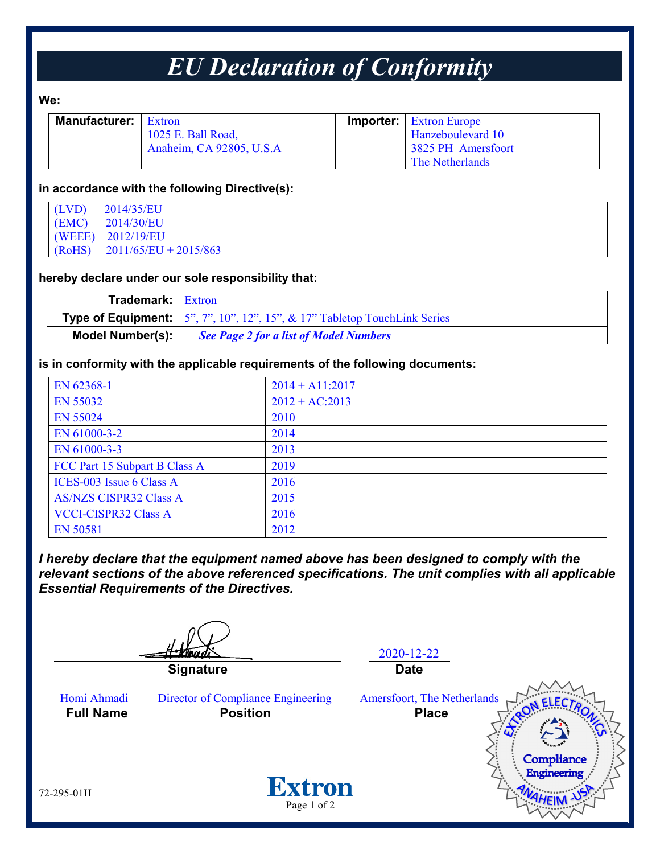## *EU Declaration of Conformity*

#### **We:**

| <b>Manufacturer:</b> Extron |                          | <b>Importer:</b> Extron Europe |
|-----------------------------|--------------------------|--------------------------------|
|                             | 1025 E. Ball Road,       | Hanzeboulevard 10              |
|                             | Anaheim, CA 92805, U.S.A | 3825 PH Amersfoort             |
|                             |                          | <b>The Netherlands</b>         |

#### **in accordance with the following Directive(s):**

| (LVD)  | 2014/35/EU              |  |
|--------|-------------------------|--|
| (EMC)  | 2014/30/EU              |  |
|        | (WEEE) 2012/19/EU       |  |
| (RoHS) | $2011/65/EU + 2015/863$ |  |

#### **hereby declare under our sole responsibility that:**

| <b>Trademark:</b> Extron |                                                                                           |  |
|--------------------------|-------------------------------------------------------------------------------------------|--|
|                          | <b>Type of Equipment:</b> $\vert 5$ ", 7", 10", 12", 15", & 17" Tabletop TouchLink Series |  |
| <b>Model Number(s):</b>  | <b>See Page 2 for a list of Model Numbers</b>                                             |  |

#### **is in conformity with the applicable requirements of the following documents:**

| EN 62368-1                    | $2014 + A11:2017$ |
|-------------------------------|-------------------|
| EN 55032                      | $2012 + AC:2013$  |
| <b>EN 55024</b>               | 2010              |
| EN 61000-3-2                  | 2014              |
| EN 61000-3-3                  | 2013              |
| FCC Part 15 Subpart B Class A | 2019              |
| ICES-003 Issue 6 Class A      | 2016              |
| <b>AS/NZS CISPR32 Class A</b> | 2015              |
| <b>VCCI-CISPR32 Class A</b>   | 2016              |
| <b>EN 50581</b>               | 2012              |

*I hereby declare that the equipment named above has been designed to comply with the relevant sections of the above referenced specifications. The unit complies with all applicable Essential Requirements of the Directives.*

2020-12-22 **Signature Date** Homi Ahmadi Director of Compliance Engineering Amersfoort, The Netherlands **Full Name Position Position Place** Compliance Engineering **Extron** 72-295-01H Page 1 of 2